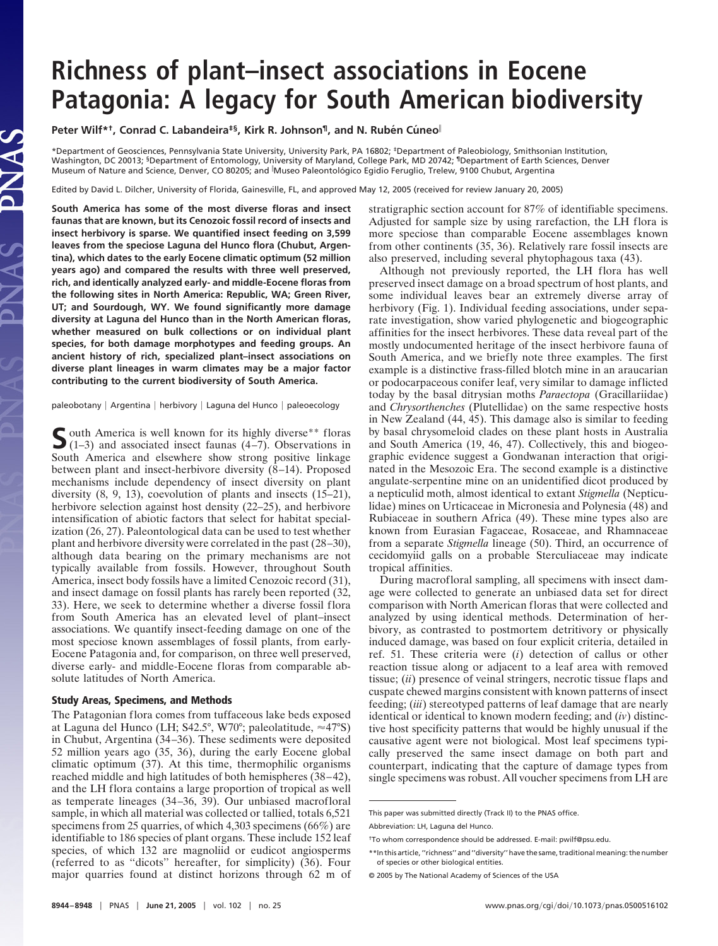## **Richness of plant–insect associations in Eocene Patagonia: A legacy for South American biodiversity**

**Peter Wilf\*<sup>†</sup>, Conrad C. Labandeira<sup>‡§</sup>, Kirk R. Johnson<sup>¶</sup>, and N. Rubén Cúneo<sup>||</sup>** 

\*Department of Geosciences, Pennsylvania State University, University Park, PA 16802; ‡Department of Paleobiology, Smithsonian Institution, Washington, DC 20013; §Department of Entomology, University of Maryland, College Park, MD 20742; ¶Department of Earth Sciences, Denver Museum of Nature and Science, Denver, CO 80205; and <sup>I</sup>Museo Paleontológico Egidio Feruglio, Trelew, 9100 Chubut, Argentina

Edited by David L. Dilcher, University of Florida, Gainesville, FL, and approved May 12, 2005 (received for review January 20, 2005)

**South America has some of the most diverse floras and insect faunas that are known, but its Cenozoic fossil record of insects and insect herbivory is sparse. We quantified insect feeding on 3,599 leaves from the speciose Laguna del Hunco flora (Chubut, Argentina), which dates to the early Eocene climatic optimum (52 million years ago) and compared the results with three well preserved, rich, and identically analyzed early- and middle-Eocene floras from the following sites in North America: Republic, WA; Green River, UT; and Sourdough, WY. We found significantly more damage diversity at Laguna del Hunco than in the North American floras, whether measured on bulk collections or on individual plant species, for both damage morphotypes and feeding groups. An ancient history of rich, specialized plant–insect associations on diverse plant lineages in warm climates may be a major factor contributing to the current biodiversity of South America.**

JAS

paleobotany | Argentina | herbivory | Laguna del Hunco | paleoecology

South America is well known for its highly diverse<sup>\*\*</sup> floras (1–3) and associated insect faunas (4–7). Observations in South America and elsewhere show strong positive linkage between plant and insect-herbivore diversity (8–14). Proposed mechanisms include dependency of insect diversity on plant diversity (8, 9, 13), coevolution of plants and insects (15–21), herbivore selection against host density (22–25), and herbivore intensification of abiotic factors that select for habitat specialization (26, 27). Paleontological data can be used to test whether plant and herbivore diversity were correlated in the past (28–30), although data bearing on the primary mechanisms are not typically available from fossils. However, throughout South America, insect body fossils have a limited Cenozoic record (31), and insect damage on fossil plants has rarely been reported (32, 33). Here, we seek to determine whether a diverse fossil flora from South America has an elevated level of plant–insect associations. We quantify insect-feeding damage on one of the most speciose known assemblages of fossil plants, from early-Eocene Patagonia and, for comparison, on three well preserved, diverse early- and middle-Eocene floras from comparable absolute latitudes of North America.

## **Study Areas, Specimens, and Methods**

stratigraphic section account for 87% of identifiable specimens. Adjusted for sample size by using rarefaction, the LH flora is more speciose than comparable Eocene assemblages known from other continents (35, 36). Relatively rare fossil insects are also preserved, including several phytophagous taxa (43).

Although not previously reported, the LH flora has well preserved insect damage on a broad spectrum of host plants, and some individual leaves bear an extremely diverse array of herbivory (Fig. 1). Individual feeding associations, under separate investigation, show varied phylogenetic and biogeographic affinities for the insect herbivores. These data reveal part of the mostly undocumented heritage of the insect herbivore fauna of South America, and we briefly note three examples. The first example is a distinctive frass-filled blotch mine in an araucarian or podocarpaceous conifer leaf, very similar to damage inflicted today by the basal ditrysian moths *Paraectopa* (Gracillariidae) and *Chrysorthenches* (Plutellidae) on the same respective hosts in New Zealand (44, 45). This damage also is similar to feeding by basal chrysomeloid clades on these plant hosts in Australia and South America (19, 46, 47). Collectively, this and biogeographic evidence suggest a Gondwanan interaction that originated in the Mesozoic Era. The second example is a distinctive angulate-serpentine mine on an unidentified dicot produced by a nepticulid moth, almost identical to extant *Stigmella* (Nepticulidae) mines on Urticaceae in Micronesia and Polynesia (48) and Rubiaceae in southern Africa (49). These mine types also are known from Eurasian Fagaceae, Rosaceae, and Rhamnaceae from a separate *Stigmella* lineage (50). Third, an occurrence of cecidomyiid galls on a probable Sterculiaceae may indicate tropical affinities.

During macrofloral sampling, all specimens with insect damage were collected to generate an unbiased data set for direct comparison with North American floras that were collected and analyzed by using identical methods. Determination of herbivory, as contrasted to postmortem detritivory or physically induced damage, was based on four explicit criteria, detailed in ref. 51. These criteria were (*i*) detection of callus or other reaction tissue along or adjacent to a leaf area with removed tissue; (*ii*) presence of veinal stringers, necrotic tissue flaps and cuspate chewed margins consistent with known patterns of insect feeding; (*iii*) stereotyped patterns of leaf damage that are nearly identical or identical to known modern feeding; and (*iv*) distinctive host specificity patterns that would be highly unusual if the causative agent were not biological. Most leaf specimens typically preserved the same insect damage on both part and counterpart, indicating that the capture of damage types from single specimens was robust. All voucher specimens from LH are

The Patagonian flora comes from tuffaceous lake beds exposed at Laguna del Hunco (LH; S42.5°, W70°; paleolatitude,  $\approx$ 47°S) in Chubut, Argentina (34–36). These sediments were deposited 52 million years ago (35, 36), during the early Eocene global climatic optimum (37). At this time, thermophilic organisms reached middle and high latitudes of both hemispheres (38–42), and the LH flora contains a large proportion of tropical as well as temperate lineages (34–36, 39). Our unbiased macrofloral sample, in which all material was collected or tallied, totals 6,521 specimens from 25 quarries, of which 4,303 specimens (66%) are identifiable to 186 species of plant organs. These include 152 leaf species, of which 132 are magnoliid or eudicot angiosperms (referred to as ''dicots'' hereafter, for simplicity) (36). Four major quarries found at distinct horizons through 62 m of

This paper was submitted directly (Track II) to the PNAS office.

Abbreviation: LH, Laguna del Hunco.

<sup>†</sup>To whom correspondence should be addressed. E-mail: pwilf@psu.edu.

<sup>\*\*</sup>In this article, ''richness'' and ''diversity'' have the same, traditional meaning: the number of species or other biological entities.

<sup>© 2005</sup> by The National Academy of Sciences of the USA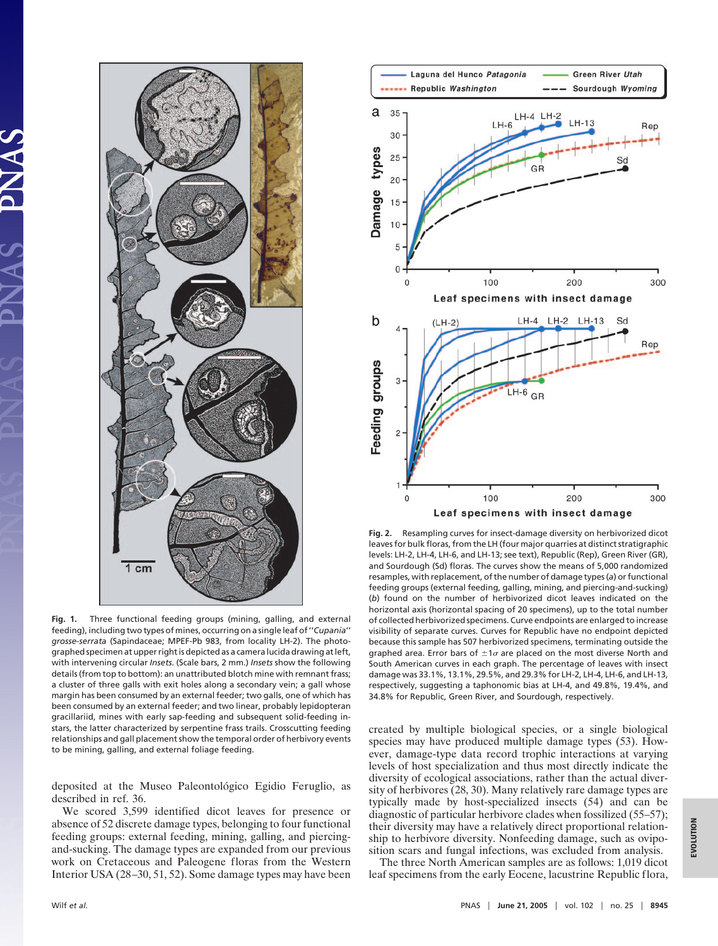

**Fig. 1.** Three functional feeding groups (mining, galling, and external feeding), including two types of mines, occurring on a single leaf of ''*Cupania*'' *grosse*-*serrata* (Sapindaceae; MPEF-Pb 983, from locality LH-2). The photographed specimen at upper right is depicted as a camera lucida drawing at left, with intervening circular *Insets*. (Scale bars, 2 mm.) *Insets* show the following details (from top to bottom): an unattributed blotch mine with remnant frass; a cluster of three galls with exit holes along a secondary vein; a gall whose margin has been consumed by an external feeder; two galls, one of which has been consumed by an external feeder; and two linear, probably lepidopteran gracillariid, mines with early sap-feeding and subsequent solid-feeding instars, the latter characterized by serpentine frass trails. Crosscutting feeding relationships and gall placement show the temporal order of herbivory events to be mining, galling, and external foliage feeding.

deposited at the Museo Paleontológico Egidio Feruglio, as described in ref. 36.

We scored 3,599 identified dicot leaves for presence or absence of 52 discrete damage types, belonging to four functional feeding groups: external feeding, mining, galling, and piercingand-sucking. The damage types are expanded from our previous work on Cretaceous and Paleogene floras from the Western Interior USA (28–30, 51, 52). Some damage types may have been



**Fig. 2.** Resampling curves for insect-damage diversity on herbivorized dicot leaves for bulk floras, from the LH (four major quarries at distinct stratigraphic levels: LH-2, LH-4, LH-6, and LH-13; see text), Republic (Rep), Green River (GR), and Sourdough (Sd) floras. The curves show the means of 5,000 randomized resamples, with replacement, of the number of damage types (*a*) or functional feeding groups (external feeding, galling, mining, and piercing-and-sucking) (*b*) found on the number of herbivorized dicot leaves indicated on the horizontal axis (horizontal spacing of 20 specimens), up to the total number of collected herbivorized specimens. Curve endpoints are enlarged to increase visibility of separate curves. Curves for Republic have no endpoint depicted because this sample has 507 herbivorized specimens, terminating outside the graphed area. Error bars of  $\pm 1\sigma$  are placed on the most diverse North and South American curves in each graph. The percentage of leaves with insect damage was 33.1%, 13.1%, 29.5%, and 29.3% for LH-2, LH-4, LH-6, and LH-13, respectively, suggesting a taphonomic bias at LH-4, and 49.8%, 19.4%, and 34.8% for Republic, Green River, and Sourdough, respectively.

created by multiple biological species, or a single biological species may have produced multiple damage types (53). However, damage-type data record trophic interactions at varying levels of host specialization and thus most directly indicate the diversity of ecological associations, rather than the actual diversity of herbivores (28, 30). Many relatively rare damage types are typically made by host-specialized insects (54) and can be diagnostic of particular herbivore clades when fossilized (55–57); their diversity may have a relatively direct proportional relationship to herbivore diversity. Nonfeeding damage, such as oviposition scars and fungal infections, was excluded from analysis.

The three North American samples are as follows: 1,019 dicot leaf specimens from the early Eocene, lacustrine Republic flora,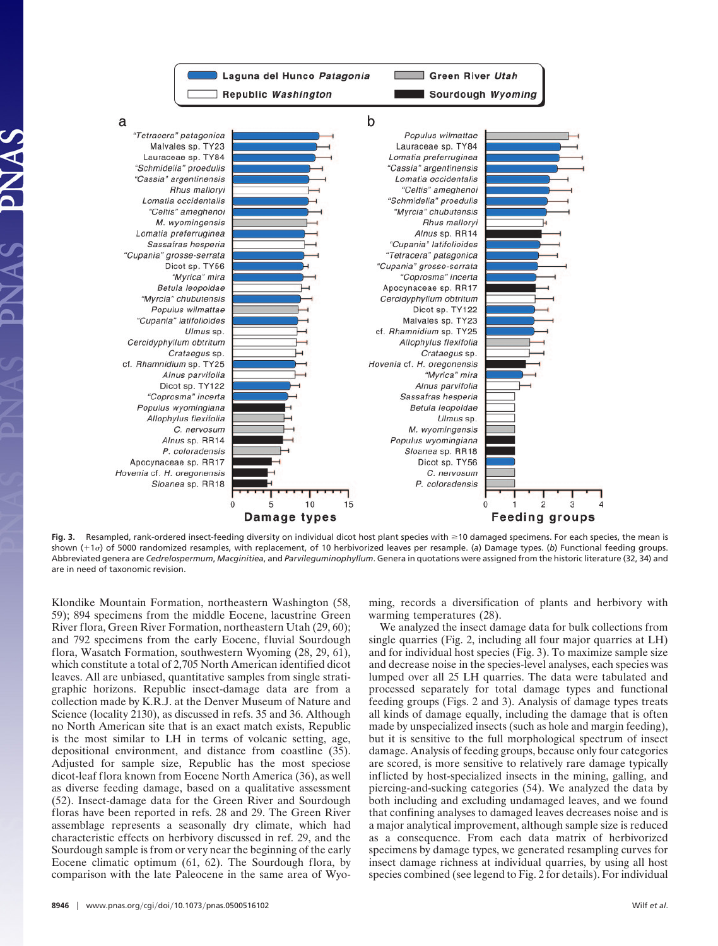

Fig. 3. Resampled, rank-ordered insect-feeding diversity on individual dicot host plant species with ≥10 damaged specimens. For each species, the mean is shown (+1*o*) of 5000 randomized resamples, with replacement, of 10 herbivorized leaves per resample. (a) Damage types. (b) Functional feeding groups. Abbreviated genera are *Cedrelospermum*, *Macginitiea*, and *Parvileguminophyllum*. Genera in quotations were assigned from the historic literature (32, 34) and are in need of taxonomic revision.

Klondike Mountain Formation, northeastern Washington (58, 59); 894 specimens from the middle Eocene, lacustrine Green River flora, Green River Formation, northeastern Utah (29, 60); and 792 specimens from the early Eocene, fluvial Sourdough flora, Wasatch Formation, southwestern Wyoming (28, 29, 61), which constitute a total of 2,705 North American identified dicot leaves. All are unbiased, quantitative samples from single stratigraphic horizons. Republic insect-damage data are from a collection made by K.R.J. at the Denver Museum of Nature and Science (locality 2130), as discussed in refs. 35 and 36. Although no North American site that is an exact match exists, Republic is the most similar to LH in terms of volcanic setting, age, depositional environment, and distance from coastline (35). Adjusted for sample size, Republic has the most speciose dicot-leaf flora known from Eocene North America (36), as well as diverse feeding damage, based on a qualitative assessment (52). Insect-damage data for the Green River and Sourdough floras have been reported in refs. 28 and 29. The Green River assemblage represents a seasonally dry climate, which had characteristic effects on herbivory discussed in ref. 29, and the Sourdough sample is from or very near the beginning of the early Eocene climatic optimum (61, 62). The Sourdough flora, by comparison with the late Paleocene in the same area of Wyoming, records a diversification of plants and herbivory with warming temperatures (28).

We analyzed the insect damage data for bulk collections from single quarries (Fig. 2, including all four major quarries at LH) and for individual host species (Fig. 3). To maximize sample size and decrease noise in the species-level analyses, each species was lumped over all 25 LH quarries. The data were tabulated and processed separately for total damage types and functional feeding groups (Figs. 2 and 3). Analysis of damage types treats all kinds of damage equally, including the damage that is often made by unspecialized insects (such as hole and margin feeding), but it is sensitive to the full morphological spectrum of insect damage. Analysis of feeding groups, because only four categories are scored, is more sensitive to relatively rare damage typically inflicted by host-specialized insects in the mining, galling, and piercing-and-sucking categories (54). We analyzed the data by both including and excluding undamaged leaves, and we found that confining analyses to damaged leaves decreases noise and is a major analytical improvement, although sample size is reduced as a consequence. From each data matrix of herbivorized specimens by damage types, we generated resampling curves for insect damage richness at individual quarries, by using all host species combined (see legend to Fig. 2 for details). For individual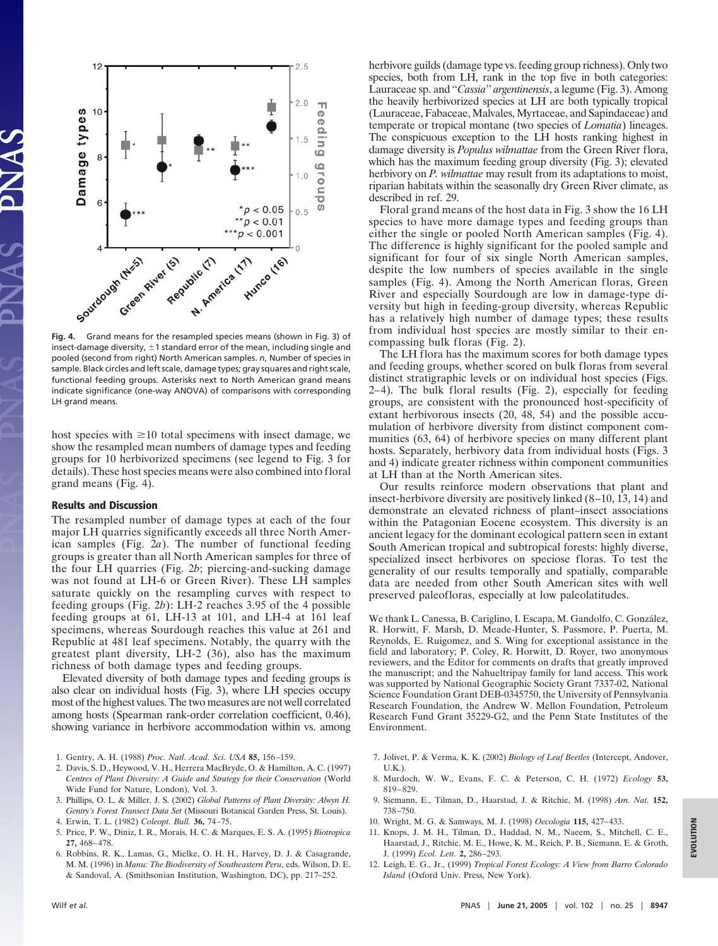

**Fig. 4.** Grand means for the resampled species means (shown in Fig. 3) of insect-damage diversity,  $\pm 1$  standard error of the mean, including single and pooled (second from right) North American samples. *n*, Number of species in sample. Black circles and left scale, damage types; gray squares and right scale, functional feeding groups. Asterisks next to North American grand means indicate significance (one-way ANOVA) of comparisons with corresponding LH grand means.

host species with  $\geq 10$  total specimens with insect damage, we show the resampled mean numbers of damage types and feeding groups for 10 herbivorized specimens (see legend to Fig. 3 for details). These host species means were also combined into floral grand means (Fig. 4).

## **Results and Discussion**

The resampled number of damage types at each of the four major LH quarries significantly exceeds all three North American samples (Fig. 2*a*). The number of functional feeding groups is greater than all North American samples for three of the four LH quarries (Fig. 2*b*; piercing-and-sucking damage was not found at LH-6 or Green River). These LH samples saturate quickly on the resampling curves with respect to feeding groups (Fig. 2*b*): LH-2 reaches 3.95 of the 4 possible feeding groups at 61, LH-13 at 101, and LH-4 at 161 leaf specimens, whereas Sourdough reaches this value at 261 and Republic at 481 leaf specimens. Notably, the quarry with the greatest plant diversity, LH-2 (36), also has the maximum richness of both damage types and feeding groups.

Elevated diversity of both damage types and feeding groups is also clear on individual hosts (Fig. 3), where LH species occupy most of the highest values. The two measures are not well correlated among hosts (Spearman rank-order correlation coefficient, 0.46), showing variance in herbivore accommodation within vs. among

- 1. Gentry, A. H. (1988) *Proc. Natl. Acad. Sci. USA* **85,** 156–159.
- 2. Davis, S. D., Heywood, V. H., Herrera MacBryde, O. & Hamilton, A. C. (1997) *Centres of Plant Diversity: A Guide and Strategy for their Conservation* (World Wide Fund for Nature, London), Vol. 3.
- 3. Phillips, O. L. & Miller, J. S. (2002) *Global Patterns of Plant Diversity: Alwyn H. Gentry's Forest Transect Data Set* (Missouri Botanical Garden Press, St. Louis).
- 4. Erwin, T. L. (1982) *Coleopt. Bull.* **36,** 74–75. 5. Price, P. W., Diniz, I. R., Morais, H. C. & Marques, E. S. A. (1995) *Biotropica*
- **27,** 468–478.
- 6. Robbins, R. K., Lamas, G., Mielke, O. H. H., Harvey, D. J. & Casagrande, M. M. (1996) in *Manu: The Biodiversity of Southeastern Peru*, eds. Wilson, D. E. & Sandoval, A. (Smithsonian Institution, Washington, DC), pp. 217–252.

herbivore guilds (damage type vs. feeding group richness). Only two species, both from LH, rank in the top five in both categories: Lauraceae sp. and ''*Cassia*'' *argentinensis*, a legume (Fig. 3). Among the heavily herbivorized species at LH are both typically tropical (Lauraceae, Fabaceae, Malvales, Myrtaceae, and Sapindaceae) and temperate or tropical montane (two species of *Lomatia*) lineages. The conspicuous exception to the LH hosts ranking highest in damage diversity is *Populus wilmattae* from the Green River flora, which has the maximum feeding group diversity (Fig. 3); elevated herbivory on *P. wilmattae* may result from its adaptations to moist, riparian habitats within the seasonally dry Green River climate, as described in ref. 29.

Floral grand means of the host data in Fig. 3 show the 16 LH species to have more damage types and feeding groups than either the single or pooled North American samples (Fig. 4). The difference is highly significant for the pooled sample and significant for four of six single North American samples, despite the low numbers of species available in the single samples (Fig. 4). Among the North American floras, Green River and especially Sourdough are low in damage-type diversity but high in feeding-group diversity, whereas Republic has a relatively high number of damage types; these results from individual host species are mostly similar to their encompassing bulk floras (Fig. 2).

The LH flora has the maximum scores for both damage types and feeding groups, whether scored on bulk floras from several distinct stratigraphic levels or on individual host species (Figs. 2–4). The bulk floral results (Fig. 2), especially for feeding groups, are consistent with the pronounced host-specificity of extant herbivorous insects (20, 48, 54) and the possible accumulation of herbivore diversity from distinct component communities (63, 64) of herbivore species on many different plant hosts. Separately, herbivory data from individual hosts (Figs. 3 and 4) indicate greater richness within component communities at LH than at the North American sites.

Our results reinforce modern observations that plant and insect-herbivore diversity are positively linked (8–10, 13, 14) and demonstrate an elevated richness of plant–insect associations within the Patagonian Eocene ecosystem. This diversity is an ancient legacy for the dominant ecological pattern seen in extant South American tropical and subtropical forests: highly diverse, specialized insect herbivores on speciose floras. To test the generality of our results temporally and spatially, comparable data are needed from other South American sites with well preserved paleofloras, especially at low paleolatitudes.

We thank L. Canessa, B. Cariglino, I. Escapa, M. Gandolfo, C. González, R. Horwitt, F. Marsh, D. Meade-Hunter, S. Passmore, P. Puerta, M. Reynolds, E. Ruigomez, and S. Wing for exceptional assistance in the field and laboratory; P. Coley, R. Horwitt, D. Royer, two anonymous reviewers, and the Editor for comments on drafts that greatly improved the manuscript; and the Nahueltripay family for land access. This work was supported by National Geographic Society Grant 7337-02, National Science Foundation Grant DEB-0345750, the University of Pennsylvania Research Foundation, the Andrew W. Mellon Foundation, Petroleum Research Fund Grant 35229-G2, and the Penn State Institutes of the Environment.

- 7. Jolivet, P. & Verma, K. K. (2002) *Biology of Leaf Beetles* (Intercept, Andover, U.K.).
- 8. Murdoch, W. W., Evans, F. C. & Peterson, C. H. (1972) *Ecology* **53,** 819–829.
- 9. Siemann, E., Tilman, D., Haarstad, J. & Ritchie, M. (1998) *Am. Nat.* **152,** 738–750.
- 10. Wright, M. G. & Samways, M. J. (1998) *Oecologia* **115,** 427–433.
- 11. Knops, J. M. H., Tilman, D., Haddad, N. M., Naeem, S., Mitchell, C. E., Haarstad, J., Ritchie, M. E., Howe, K. M., Reich, P. B., Siemann, E. & Groth, J. (1999) *Ecol. Lett.* **2,** 286–293.
- 12. Leigh, E. G., Jr., (1999) *Tropical Forest Ecology: A View from Barro Colorado Island* (Oxford Univ. Press, New York).